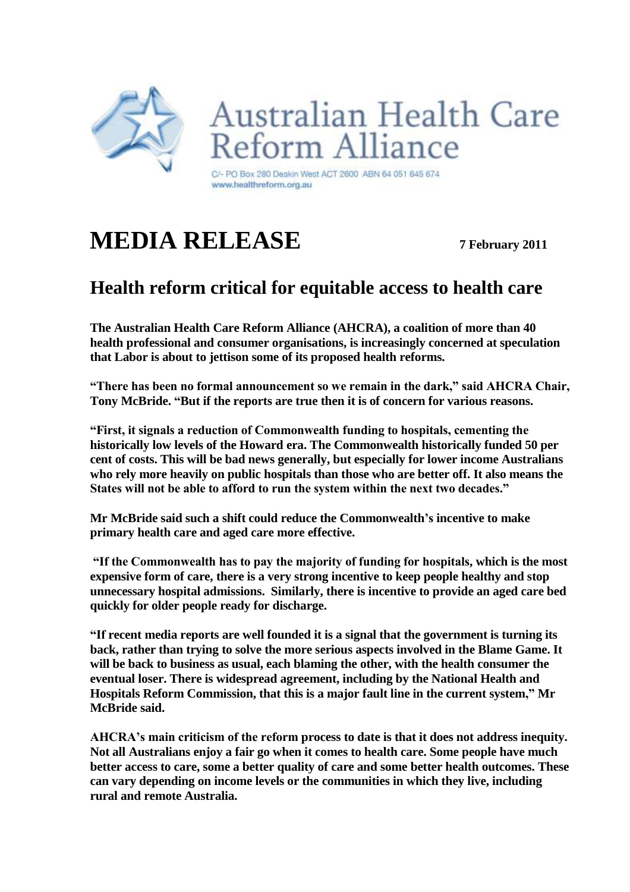

## **MEDIA RELEASE <sup>7</sup> February 2011**

## **Health reform critical for equitable access to health care**

**The Australian Health Care Reform Alliance (AHCRA), a coalition of more than 40 health professional and consumer organisations, is increasingly concerned at speculation that Labor is about to jettison some of its proposed health reforms.** 

**"There has been no formal announcement so we remain in the dark," said AHCRA Chair, Tony McBride. "But if the reports are true then it is of concern for various reasons.**

**"First, it signals a reduction of Commonwealth funding to hospitals, cementing the historically low levels of the Howard era. The Commonwealth historically funded 50 per cent of costs. This will be bad news generally, but especially for lower income Australians who rely more heavily on public hospitals than those who are better off. It also means the States will not be able to afford to run the system within the next two decades."**

**Mr McBride said such a shift could reduce the Commonwealth's incentive to make primary health care and aged care more effective.**

**"If the Commonwealth has to pay the majority of funding for hospitals, which is the most expensive form of care, there is a very strong incentive to keep people healthy and stop unnecessary hospital admissions. Similarly, there is incentive to provide an aged care bed quickly for older people ready for discharge.**

**"If recent media reports are well founded it is a signal that the government is turning its back, rather than trying to solve the more serious aspects involved in the Blame Game. It will be back to business as usual, each blaming the other, with the health consumer the eventual loser. There is widespread agreement, including by the National Health and Hospitals Reform Commission, that this is a major fault line in the current system," Mr McBride said.**

**AHCRA's main criticism of the reform process to date is that it does not address inequity. Not all Australians enjoy a fair go when it comes to health care. Some people have much better access to care, some a better quality of care and some better health outcomes. These can vary depending on income levels or the communities in which they live, including rural and remote Australia.**